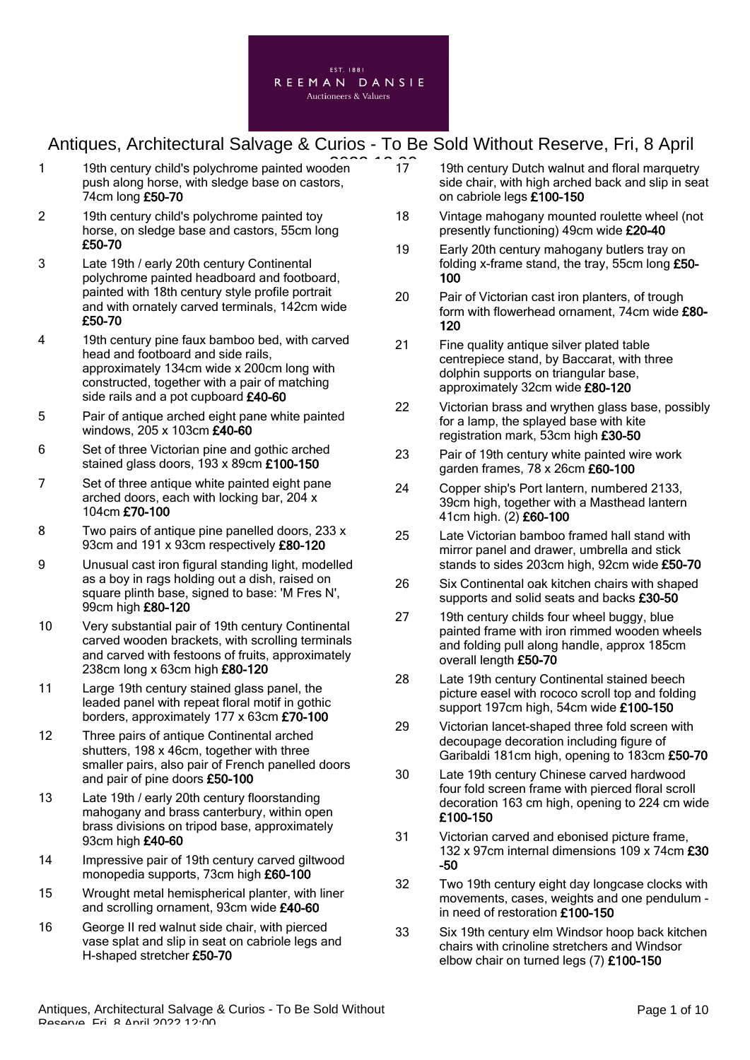

- 1 19th century child's polychrome painted wooden<sup>2</sup> 17 push along horse, with sledge base on castors, 74cm long £50-70
- 2 19th century child's polychrome painted toy horse, on sledge base and castors, 55cm long £50-70
- 3 Late 19th / early 20th century Continental polychrome painted headboard and footboard, painted with 18th century style profile portrait and with ornately carved terminals, 142cm wide £50-70
- 4 19th century pine faux bamboo bed, with carved head and footboard and side rails, approximately 134cm wide x 200cm long with constructed, together with a pair of matching side rails and a pot cupboard £40-60
- 5 Pair of antique arched eight pane white painted windows, 205 x 103cm £40-60
- 6 Set of three Victorian pine and gothic arched stained glass doors, 193 x 89cm £100-150
- 7 Set of three antique white painted eight pane arched doors, each with locking bar, 204 x 104cm £70-100
- 8 Two pairs of antique pine panelled doors, 233 x 93cm and 191 x 93cm respectively £80-120
- 9 Unusual cast iron figural standing light, modelled as a boy in rags holding out a dish, raised on square plinth base, signed to base: 'M Fres N', 99cm high £80-120
- 10 Very substantial pair of 19th century Continental carved wooden brackets, with scrolling terminals and carved with festoons of fruits, approximately 238cm long x 63cm high £80-120
- 11 Large 19th century stained glass panel, the leaded panel with repeat floral motif in gothic borders, approximately 177 x 63cm £70-100
- 12 Three pairs of antique Continental arched shutters, 198 x 46cm, together with three smaller pairs, also pair of French panelled doors and pair of pine doors £50-100
- 13 Late 19th / early 20th century floorstanding mahogany and brass canterbury, within open brass divisions on tripod base, approximately 93cm high £40-60
- 14 Impressive pair of 19th century carved giltwood monopedia supports, 73cm high £60-100
- 15 Wrought metal hemispherical planter, with liner and scrolling ornament, 93cm wide £40-60
- 16 George II red walnut side chair, with pierced vase splat and slip in seat on cabriole legs and H-shaped stretcher £50-70
- 17 19th century Dutch walnut and floral marquetry side chair, with high arched back and slip in seat on cabriole legs £100-150
- 18 Vintage mahogany mounted roulette wheel (not presently functioning) 49cm wide £20-40
- 19 Early 20th century mahogany butlers tray on folding x-frame stand, the tray, 55cm long £50- 100
- 20 Pair of Victorian cast iron planters, of trough form with flowerhead ornament, 74cm wide £80- 120
- 21 Fine quality antique silver plated table centrepiece stand, by Baccarat, with three dolphin supports on triangular base. approximately 32cm wide £80-120
- 22 Victorian brass and wrythen glass base, possibly for a lamp, the splayed base with kite registration mark, 53cm high £30-50
- 23 Pair of 19th century white painted wire work garden frames, 78 x 26cm £60-100
- 24 Copper ship's Port lantern, numbered 2133, 39cm high, together with a Masthead lantern 41cm high. (2) £60-100
- 25 Late Victorian bamboo framed hall stand with mirror panel and drawer, umbrella and stick stands to sides 203cm high, 92cm wide £50-70
- 26 Six Continental oak kitchen chairs with shaped supports and solid seats and backs £30-50
- 27 19th century childs four wheel buggy, blue painted frame with iron rimmed wooden wheels and folding pull along handle, approx 185cm overall length £50-70
- 28 Late 19th century Continental stained beech picture easel with rococo scroll top and folding support 197cm high, 54cm wide £100-150
- 29 Victorian lancet-shaped three fold screen with decoupage decoration including figure of Garibaldi 181cm high, opening to 183cm £50-70
- 30 Late 19th century Chinese carved hardwood four fold screen frame with pierced floral scroll decoration 163 cm high, opening to 224 cm wide £100-150
- 31 Victorian carved and ebonised picture frame, 132 x 97cm internal dimensions 109 x 74cm £30 -50
- 32 Two 19th century eight day longcase clocks with movements, cases, weights and one pendulum in need of restoration £100-150
- 33 Six 19th century elm Windsor hoop back kitchen chairs with crinoline stretchers and Windsor elbow chair on turned legs (7) £100-150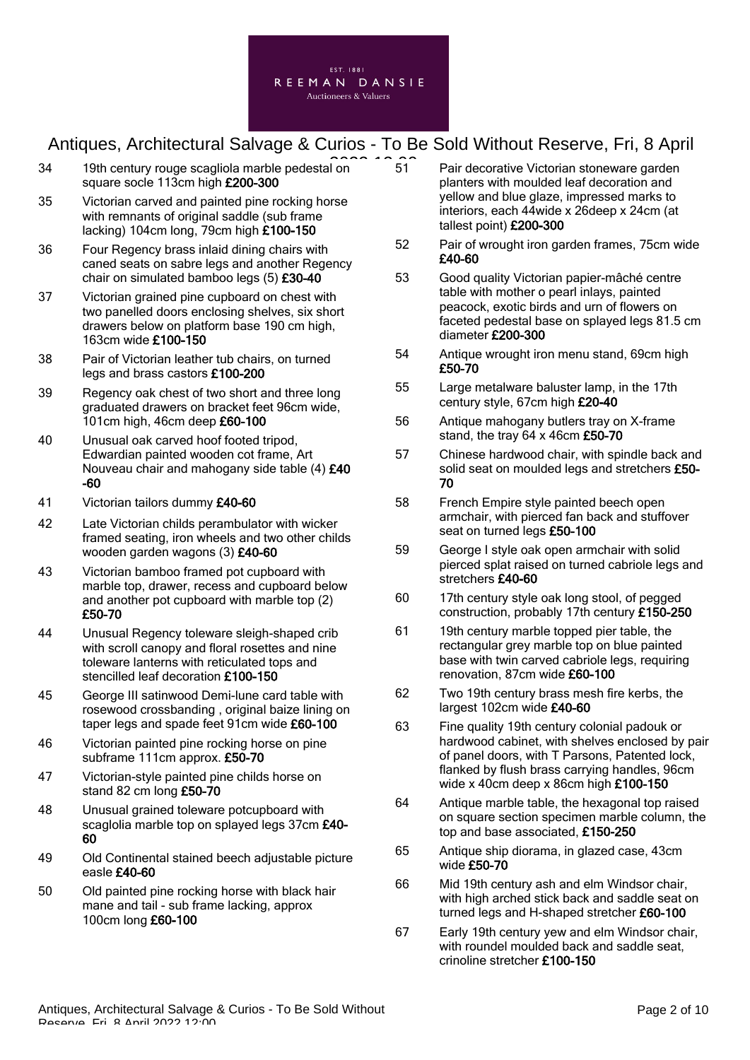

- 34 19th century rouge scagliola marble pedestal on 31 31 square socle 113cm high £200-300
- 35 Victorian carved and painted pine rocking horse with remnants of original saddle (sub frame lacking) 104cm long, 79cm high £100-150
- 36 Four Regency brass inlaid dining chairs with caned seats on sabre legs and another Regency chair on simulated bamboo legs (5) £30-40
- 37 Victorian grained pine cupboard on chest with two panelled doors enclosing shelves, six short drawers below on platform base 190 cm high, 163cm wide £100-150
- 38 Pair of Victorian leather tub chairs, on turned legs and brass castors £100-200
- 39 Regency oak chest of two short and three long graduated drawers on bracket feet 96cm wide, 101cm high, 46cm deep £60-100
- 40 Unusual oak carved hoof footed tripod, Edwardian painted wooden cot frame, Art Nouveau chair and mahogany side table (4) £40 -60
- 41 Victorian tailors dummy £40-60
- 42 Late Victorian childs perambulator with wicker framed seating, iron wheels and two other childs wooden garden wagons (3) £40-60
- 43 Victorian bamboo framed pot cupboard with marble top, drawer, recess and cupboard below and another pot cupboard with marble top (2) £50-70
- 44 Unusual Regency toleware sleigh-shaped crib with scroll canopy and floral rosettes and nine toleware lanterns with reticulated tops and stencilled leaf decoration £100-150
- 45 George III satinwood Demi-lune card table with rosewood crossbanding , original baize lining on taper legs and spade feet 91cm wide £60-100
- 46 Victorian painted pine rocking horse on pine subframe 111cm approx. £50-70
- 47 Victorian-style painted pine childs horse on stand 82 cm long £50-70
- 48 Unusual grained toleware potcupboard with scaglolia marble top on splayed legs 37cm £40-60
- 49 Old Continental stained beech adjustable picture easle £40-60
- 50 Old painted pine rocking horse with black hair mane and tail - sub frame lacking, approx 100cm long £60-100
- 51 Pair decorative Victorian stoneware garden planters with moulded leaf decoration and yellow and blue glaze, impressed marks to interiors, each 44wide x 26deep x 24cm (at tallest point) £200-300
- 52 Pair of wrought iron garden frames, 75cm wide £40-60
- 53 Good quality Victorian papier-mâché centre table with mother o pearl inlays, painted peacock, exotic birds and urn of flowers on faceted pedestal base on splayed legs 81.5 cm diameter £200-300
- 54 Antique wrought iron menu stand, 69cm high £50-70
- 55 Large metalware baluster lamp, in the 17th century style, 67cm high £20-40
- 56 Antique mahogany butlers tray on X-frame stand, the tray 64 x 46cm £50-70
- 57 Chinese hardwood chair, with spindle back and solid seat on moulded legs and stretchers £50-70
- 58 French Empire style painted beech open armchair, with pierced fan back and stuffover seat on turned legs £50-100
- 59 George I style oak open armchair with solid pierced splat raised on turned cabriole legs and stretchers £40-60
- 60 17th century style oak long stool, of pegged construction, probably 17th century £150-250
- 61 19th century marble topped pier table, the rectangular grey marble top on blue painted base with twin carved cabriole legs, requiring renovation, 87cm wide £60-100
- 62 Two 19th century brass mesh fire kerbs, the largest 102cm wide £40-60
- 63 Fine quality 19th century colonial padouk or hardwood cabinet, with shelves enclosed by pair of panel doors, with T Parsons, Patented lock, flanked by flush brass carrying handles, 96cm wide x 40cm deep x 86cm high £100-150
- 64 Antique marble table, the hexagonal top raised on square section specimen marble column, the top and base associated, £150-250
- 65 Antique ship diorama, in glazed case, 43cm wide £50-70
- 66 Mid 19th century ash and elm Windsor chair, with high arched stick back and saddle seat on turned legs and H-shaped stretcher £60-100
- 67 Early 19th century yew and elm Windsor chair, with roundel moulded back and saddle seat. crinoline stretcher £100-150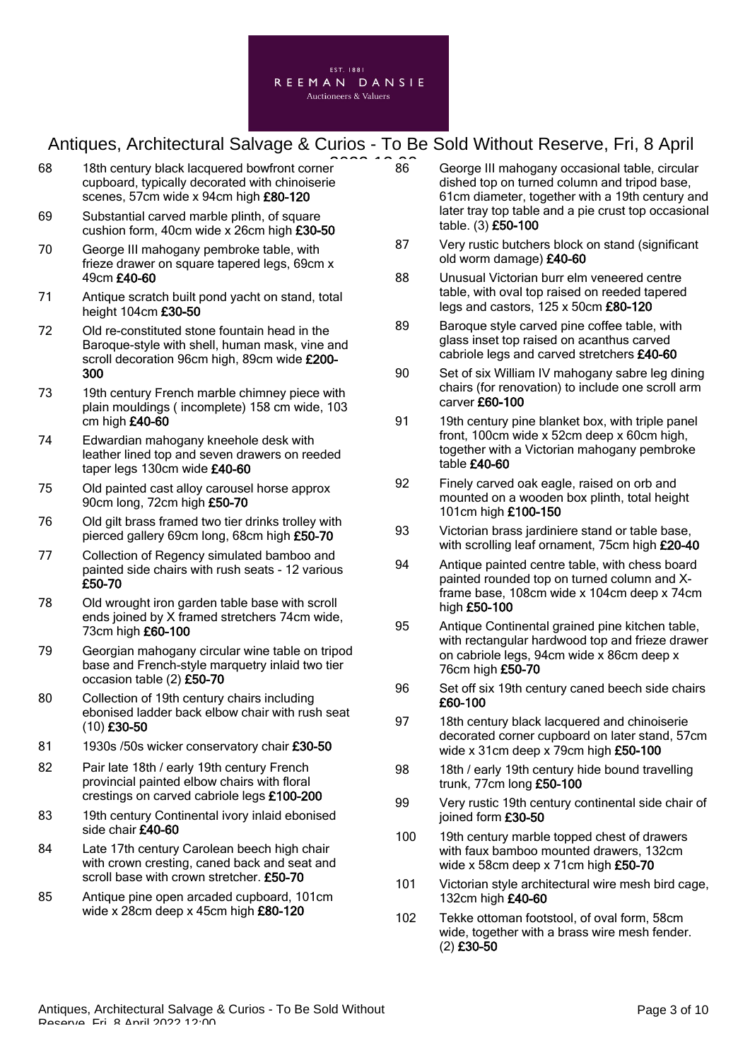

- 68 18th century black lacquered bowfront corner cupboard, typically decorated with chinoiserie scenes, 57cm wide x 94cm high £80-120
- 69 Substantial carved marble plinth, of square cushion form, 40cm wide x 26cm high £30-50
- 70 George III mahogany pembroke table, with frieze drawer on square tapered legs, 69cm x 49cm £40-60
- 71 Antique scratch built pond yacht on stand, total height 104cm £30-50
- 72 Old re-constituted stone fountain head in the Baroque-style with shell, human mask, vine and scroll decoration 96cm high, 89cm wide £200-300
- 73 19th century French marble chimney piece with plain mouldings ( incomplete) 158 cm wide, 103 cm high £40-60
- 74 Edwardian mahogany kneehole desk with leather lined top and seven drawers on reeded taper legs 130cm wide £40-60
- 75 Old painted cast alloy carousel horse approx 90cm long, 72cm high £50-70
- 76 Old gilt brass framed two tier drinks trolley with pierced gallery 69cm long, 68cm high £50-70
- 77 Collection of Regency simulated bamboo and painted side chairs with rush seats - 12 various £50-70
- 78 Old wrought iron garden table base with scroll ends joined by X framed stretchers 74cm wide, 73cm high £60-100
- 79 Georgian mahogany circular wine table on tripod base and French-style marquetry inlaid two tier occasion table (2) £50-70
- 80 Collection of 19th century chairs including ebonised ladder back elbow chair with rush seat (10) £30-50
- 81 1930s /50s wicker conservatory chair £30-50
- 82 Pair late 18th / early 19th century French provincial painted elbow chairs with floral crestings on carved cabriole legs £100-200
- 83 19th century Continental ivory inlaid ebonised side chair £40-60
- 84 Late 17th century Carolean beech high chair with crown cresting, caned back and seat and scroll base with crown stretcher. £50-70
- 85 Antique pine open arcaded cupboard, 101cm wide x 28cm deep x 45cm high £80-120
- George III mahogany occasional table, circular dished top on turned column and tripod base, 61cm diameter, together with a 19th century and later tray top table and a pie crust top occasional table. (3) £50-100 86
- 87 Very rustic butchers block on stand (significant old worm damage) £40-60
- 88 Unusual Victorian burr elm veneered centre table, with oval top raised on reeded tapered legs and castors, 125 x 50cm £80-120
- 89 Baroque style carved pine coffee table, with glass inset top raised on acanthus carved cabriole legs and carved stretchers £40-60
- 90 Set of six William IV mahogany sabre leg dining chairs (for renovation) to include one scroll arm carver £60-100
- 91 19th century pine blanket box, with triple panel front, 100cm wide x 52cm deep x 60cm high, together with a Victorian mahogany pembroke table £40-60
- 92 Finely carved oak eagle, raised on orb and mounted on a wooden box plinth, total height 101cm high £100-150
- 93 Victorian brass jardiniere stand or table base, with scrolling leaf ornament, 75cm high £20-40
- 94 Antique painted centre table, with chess board painted rounded top on turned column and Xframe base, 108cm wide x 104cm deep x 74cm high £50-100
- 95 Antique Continental grained pine kitchen table, with rectangular hardwood top and frieze drawer on cabriole legs, 94cm wide x 86cm deep x 76cm high £50-70
- 96 Set off six 19th century caned beech side chairs £60-100
- 97 18th century black lacquered and chinoiserie decorated corner cupboard on later stand, 57cm wide x 31cm deep x 79cm high £50-100
- 98 18th / early 19th century hide bound travelling trunk, 77cm long £50-100
- 99 Very rustic 19th century continental side chair of joined form £30-50
- 100 19th century marble topped chest of drawers with faux bamboo mounted drawers, 132cm wide x 58cm deep x 71cm high £50-70
- 101 Victorian style architectural wire mesh bird cage, 132cm high £40-60
- 102 Tekke ottoman footstool, of oval form, 58cm wide, together with a brass wire mesh fender. (2) £30-50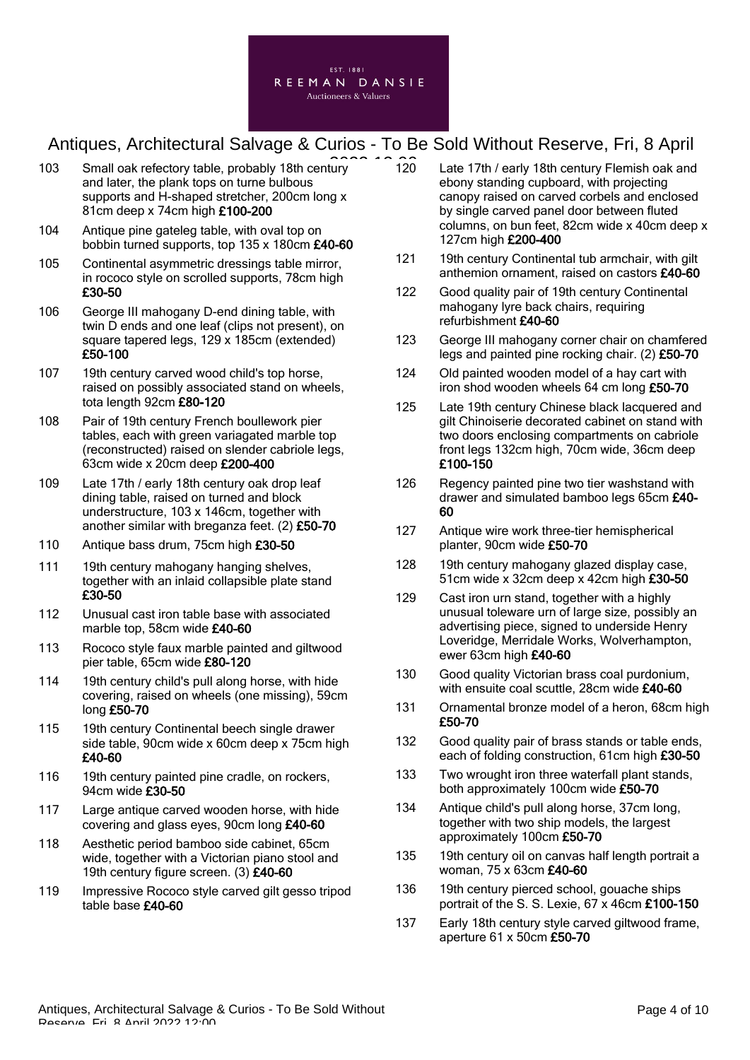

- 103 Small oak refectory table, probably 18th century and later, the plank tops on turne bulbous supports and H-shaped stretcher, 200cm long x 81cm deep x 74cm high £100-200
- 104 Antique pine gateleg table, with oval top on bobbin turned supports, top 135 x 180cm £40-60
- 105 Continental asymmetric dressings table mirror, in rococo style on scrolled supports, 78cm high £30-50
- 106 George III mahogany D-end dining table, with twin D ends and one leaf (clips not present), on square tapered legs, 129 x 185cm (extended) £50-100
- 107 19th century carved wood child's top horse, raised on possibly associated stand on wheels, tota length 92cm £80-120
- 108 Pair of 19th century French boullework pier tables, each with green variagated marble top (reconstructed) raised on slender cabriole legs, 63cm wide x 20cm deep £200-400
- 109 Late 17th / early 18th century oak drop leaf dining table, raised on turned and block understructure, 103 x 146cm, together with another similar with breganza feet. (2) £50-70
- 110 Antique bass drum, 75cm high £30-50
- 111 19th century mahogany hanging shelves, together with an inlaid collapsible plate stand £30-50
- 112 Unusual cast iron table base with associated marble top, 58cm wide £40-60
- 113 Rococo style faux marble painted and giltwood pier table, 65cm wide £80-120
- 114 19th century child's pull along horse, with hide covering, raised on wheels (one missing), 59cm long £50-70
- 115 19th century Continental beech single drawer side table, 90cm wide x 60cm deep x 75cm high £40-60
- 116 19th century painted pine cradle, on rockers, 94cm wide £30-50
- 117 Large antique carved wooden horse, with hide covering and glass eyes, 90cm long £40-60
- 118 Aesthetic period bamboo side cabinet, 65cm wide, together with a Victorian piano stool and 19th century figure screen. (3) £40-60
- 119 Impressive Rococo style carved gilt gesso tripod table base £40-60
- Late 17th / early 18th century Flemish oak and ebony standing cupboard, with projecting canopy raised on carved corbels and enclosed by single carved panel door between fluted columns, on bun feet, 82cm wide x 40cm deep x 127cm high £200-400  $120$
- 121 19th century Continental tub armchair, with gilt anthemion ornament, raised on castors £40-60
- 122 Good quality pair of 19th century Continental mahogany lyre back chairs, requiring refurbishment £40-60
- 123 George III mahogany corner chair on chamfered legs and painted pine rocking chair. (2) £50-70
- 124 Old painted wooden model of a hay cart with iron shod wooden wheels 64 cm long £50-70
- 125 Late 19th century Chinese black lacquered and gilt Chinoiserie decorated cabinet on stand with two doors enclosing compartments on cabriole front legs 132cm high, 70cm wide, 36cm deep £100-150
- 126 Regency painted pine two tier washstand with drawer and simulated bamboo legs 65cm £40- 60
- 127 Antique wire work three-tier hemispherical planter, 90cm wide £50-70
- 128 19th century mahogany glazed display case, 51cm wide x 32cm deep x 42cm high £30-50
- 129 Cast iron urn stand, together with a highly unusual toleware urn of large size, possibly an advertising piece, signed to underside Henry Loveridge, Merridale Works, Wolverhampton, ewer 63cm high £40-60
- 130 Good quality Victorian brass coal purdonium, with ensuite coal scuttle, 28cm wide £40-60
- 131 Ornamental bronze model of a heron, 68cm high £50-70
- 132 Good quality pair of brass stands or table ends, each of folding construction, 61cm high £30-50
- 133 Two wrought iron three waterfall plant stands, both approximately 100cm wide £50-70
- 134 Antique child's pull along horse, 37cm long, together with two ship models, the largest approximately 100cm £50-70
- 135 19th century oil on canvas half length portrait a woman, 75 x 63cm £40-60
- 136 19th century pierced school, gouache ships portrait of the S. S. Lexie, 67 x 46cm £100-150
- 137 Early 18th century style carved giltwood frame, aperture 61 x 50cm £50-70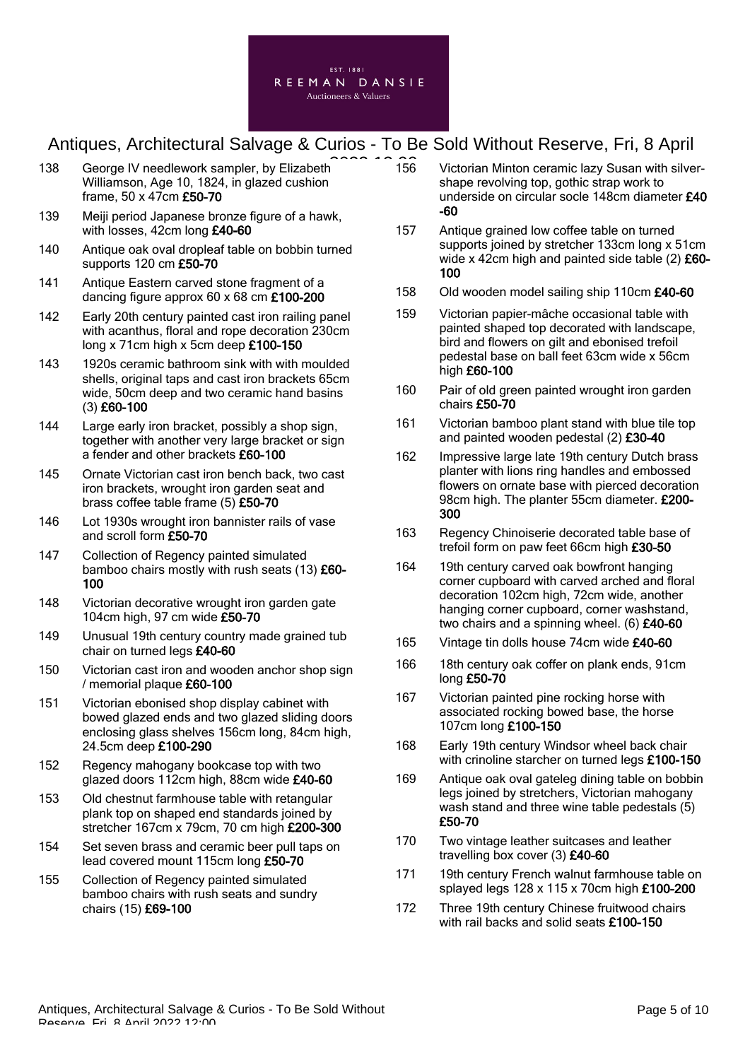

- 138 George IV needlework sampler, by Elizabeth Williamson, Age 10, 1824, in glazed cushion frame, 50 x 47cm £50-70
- 139 Meiji period Japanese bronze figure of a hawk, with losses, 42cm long £40-60
- 140 Antique oak oval dropleaf table on bobbin turned supports 120 cm £50-70
- 141 Antique Eastern carved stone fragment of a dancing figure approx 60 x 68 cm £100-200
- 142 Early 20th century painted cast iron railing panel with acanthus, floral and rope decoration 230cm long x 71cm high x 5cm deep £100-150
- 143 1920s ceramic bathroom sink with with moulded shells, original taps and cast iron brackets 65cm wide, 50cm deep and two ceramic hand basins (3) £60-100
- 144 Large early iron bracket, possibly a shop sign, together with another very large bracket or sign a fender and other brackets £60-100
- 145 Ornate Victorian cast iron bench back, two cast iron brackets, wrought iron garden seat and brass coffee table frame (5) £50-70
- 146 Lot 1930s wrought iron bannister rails of vase and scroll form £50-70
- 147 Collection of Regency painted simulated bamboo chairs mostly with rush seats (13) £60-100
- 148 Victorian decorative wrought iron garden gate 104cm high, 97 cm wide £50-70
- 149 Unusual 19th century country made grained tub chair on turned legs £40-60
- 150 Victorian cast iron and wooden anchor shop sign / memorial plaque £60-100
- 151 Victorian ebonised shop display cabinet with bowed glazed ends and two glazed sliding doors enclosing glass shelves 156cm long, 84cm high, 24.5cm deep £100-290
- 152 Regency mahogany bookcase top with two glazed doors 112cm high, 88cm wide £40-60
- 153 Old chestnut farmhouse table with retangular plank top on shaped end standards joined by stretcher 167cm x 79cm, 70 cm high £200-300
- 154 Set seven brass and ceramic beer pull taps on lead covered mount 115cm long £50-70
- 155 Collection of Regency painted simulated bamboo chairs with rush seats and sundry chairs (15) £69-100
- Victorian Minton ceramic lazy Susan with silvershape revolving top, gothic strap work to underside on circular socle 148cm diameter £40 -60 156
- 157 Antique grained low coffee table on turned supports joined by stretcher 133cm long x 51cm wide x 42cm high and painted side table (2) £60-100
- 158 Old wooden model sailing ship 110cm £40-60
- 159 Victorian papier-mâche occasional table with painted shaped top decorated with landscape, bird and flowers on gilt and ebonised trefoil pedestal base on ball feet 63cm wide x 56cm high £60-100
- 160 Pair of old green painted wrought iron garden chairs £50-70
- 161 Victorian bamboo plant stand with blue tile top and painted wooden pedestal (2) £30-40
- 162 Impressive large late 19th century Dutch brass planter with lions ring handles and embossed flowers on ornate base with pierced decoration 98cm high. The planter 55cm diameter. £200-300
- 163 Regency Chinoiserie decorated table base of trefoil form on paw feet 66cm high £30-50
- 164 19th century carved oak bowfront hanging corner cupboard with carved arched and floral decoration 102cm high, 72cm wide, another hanging corner cupboard, corner washstand, two chairs and a spinning wheel. (6) £40-60
- 165 Vintage tin dolls house 74cm wide £40-60
- 166 18th century oak coffer on plank ends, 91cm long £50-70
- 167 Victorian painted pine rocking horse with associated rocking bowed base, the horse 107cm long £100-150
- 168 Early 19th century Windsor wheel back chair with crinoline starcher on turned legs £100-150
- 169 Antique oak oval gateleg dining table on bobbin legs joined by stretchers, Victorian mahogany wash stand and three wine table pedestals (5) £50-70
- 170 Two vintage leather suitcases and leather travelling box cover (3) £40-60
- 171 19th century French walnut farmhouse table on splayed legs 128 x 115 x 70cm high £100-200
- 172 Three 19th century Chinese fruitwood chairs with rail backs and solid seats £100-150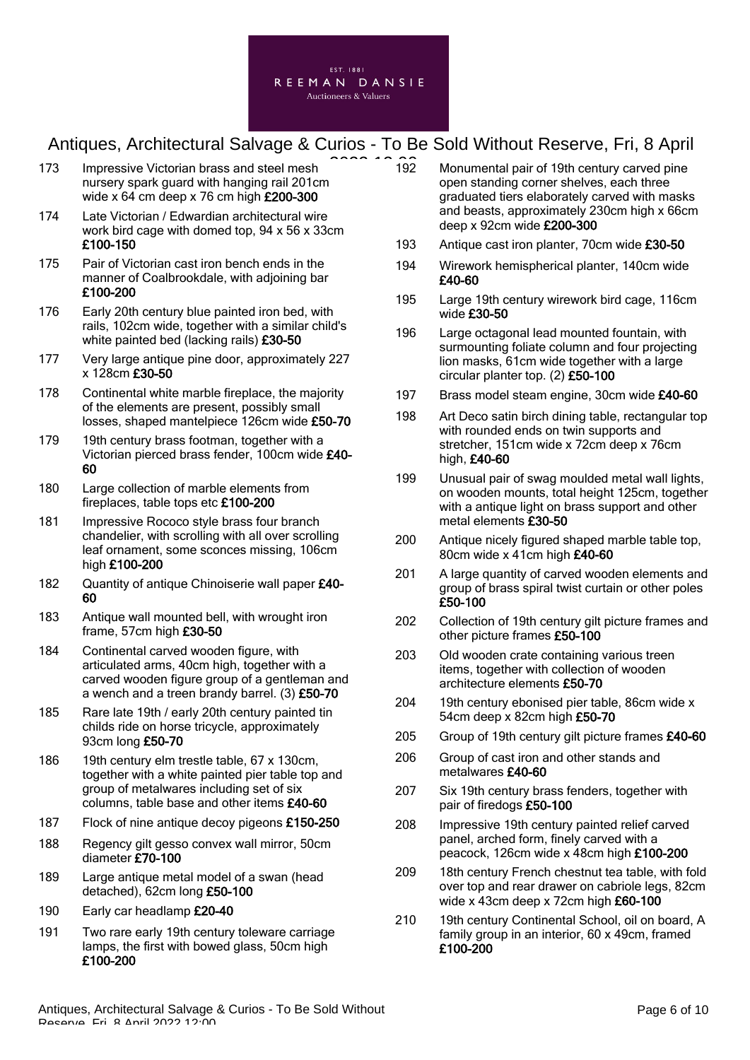

- 173 Impressive Victorian brass and steel mesh nursery spark guard with hanging rail 201cm wide x 64 cm deep x 76 cm high £200-300
- 174 Late Victorian / Edwardian architectural wire work bird cage with domed top, 94 x 56 x 33cm £100-150
- 175 Pair of Victorian cast iron bench ends in the manner of Coalbrookdale, with adjoining bar £100-200
- 176 Early 20th century blue painted iron bed, with rails, 102cm wide, together with a similar child's white painted bed (lacking rails) £30-50
- 177 Very large antique pine door, approximately 227  $x 128$ cm  $£30-50$
- 178 Continental white marble fireplace, the majority of the elements are present, possibly small losses, shaped mantelpiece 126cm wide £50-70
- 179 19th century brass footman, together with a Victorian pierced brass fender, 100cm wide £40- 60
- 180 Large collection of marble elements from fireplaces, table tops etc £100-200
- 181 Impressive Rococo style brass four branch chandelier, with scrolling with all over scrolling leaf ornament, some sconces missing, 106cm high £100-200
- 182 Quantity of antique Chinoiserie wall paper £40-60
- 183 Antique wall mounted bell, with wrought iron frame, 57cm high £30-50
- 184 Continental carved wooden figure, with articulated arms, 40cm high, together with a carved wooden figure group of a gentleman and a wench and a treen brandy barrel. (3) £50-70
- 185 Rare late 19th / early 20th century painted tin childs ride on horse tricycle, approximately 93cm long £50-70
- 186 19th century elm trestle table, 67 x 130cm, together with a white painted pier table top and group of metalwares including set of six columns, table base and other items £40-60
- 187 Flock of nine antique decoy pigeons £150-250
- 188 Regency gilt gesso convex wall mirror, 50cm diameter £70-100
- 189 Large antique metal model of a swan (head detached), 62cm long £50-100
- 190 Early car headlamp £20-40
- 191 Two rare early 19th century toleware carriage lamps, the first with bowed glass, 50cm high £100-200
- Monumental pair of 19th century carved pine open standing corner shelves, each three graduated tiers elaborately carved with masks and beasts, approximately 230cm high x 66cm deep x 92cm wide £200-300 192
- 193 Antique cast iron planter, 70cm wide £30-50
- 194 Wirework hemispherical planter, 140cm wide £40-60
- 195 Large 19th century wirework bird cage, 116cm wide £30-50
- 196 Large octagonal lead mounted fountain, with surmounting foliate column and four projecting lion masks, 61cm wide together with a large circular planter top. (2) £50-100
- 197 Brass model steam engine, 30cm wide £40-60
- 198 Art Deco satin birch dining table, rectangular top with rounded ends on twin supports and stretcher, 151cm wide x 72cm deep x 76cm high, £40-60
- 199 Unusual pair of swag moulded metal wall lights, on wooden mounts, total height 125cm, together with a antique light on brass support and other metal elements £30-50
- 200 Antique nicely figured shaped marble table top, 80cm wide x 41cm high £40-60
- 201 A large quantity of carved wooden elements and group of brass spiral twist curtain or other poles £50-100
- 202 Collection of 19th century gilt picture frames and other picture frames £50-100
- 203 Old wooden crate containing various treen items, together with collection of wooden architecture elements £50-70
- 204 19th century ebonised pier table, 86cm wide x 54cm deep x 82cm high £50-70
- 205 Group of 19th century gilt picture frames £40-60
- 206 Group of cast iron and other stands and metalwares £40-60
- 207 Six 19th century brass fenders, together with pair of firedogs £50-100
- 208 Impressive 19th century painted relief carved panel, arched form, finely carved with a peacock, 126cm wide x 48cm high £100-200
- 209 18th century French chestnut tea table, with fold over top and rear drawer on cabriole legs, 82cm wide x 43cm deep x 72cm high £60-100
- 210 19th century Continental School, oil on board, A family group in an interior, 60 x 49cm, framed £100-200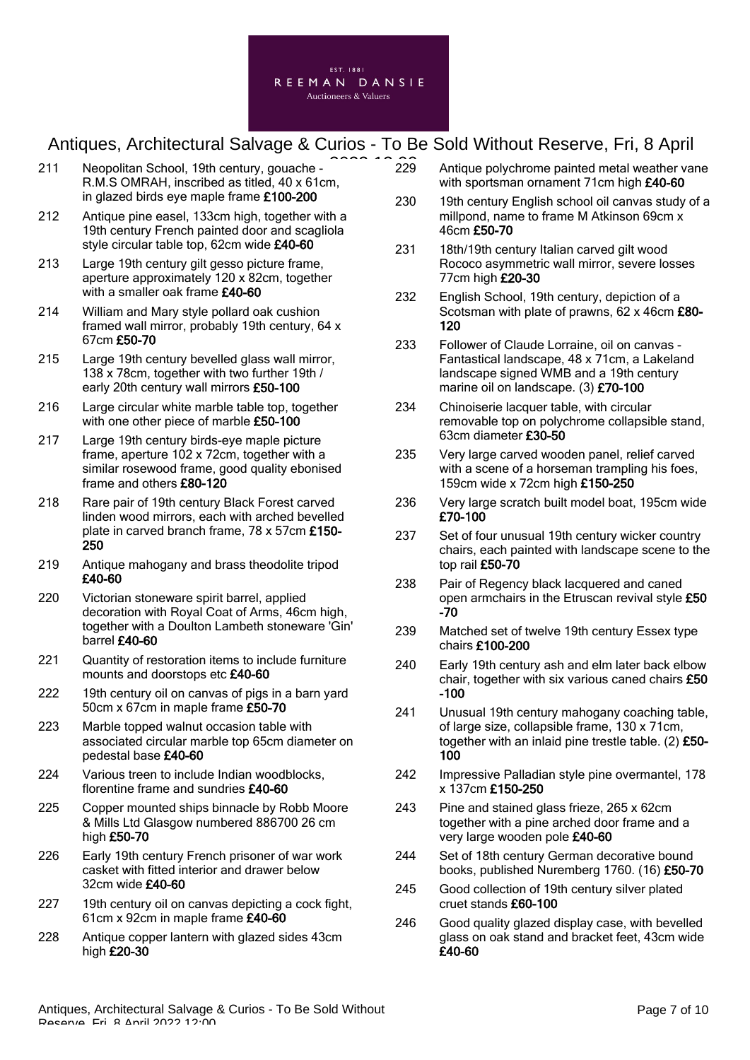

- 211 Neopolitan School, 19th century, gouache R.M.S OMRAH, inscribed as titled, 40 x 61cm, in glazed birds eye maple frame £100-200
- 212 Antique pine easel, 133cm high, together with a 19th century French painted door and scagliola style circular table top, 62cm wide £40-60
- 213 Large 19th century gilt gesso picture frame, aperture approximately 120 x 82cm, together with a smaller oak frame £40-60
- 214 William and Mary style pollard oak cushion framed wall mirror, probably 19th century, 64 x 67cm £50-70
- 215 Large 19th century bevelled glass wall mirror, 138 x 78cm, together with two further 19th / early 20th century wall mirrors £50-100
- 216 Large circular white marble table top, together with one other piece of marble £50-100
- 217 Large 19th century birds-eye maple picture frame, aperture 102 x 72cm, together with a similar rosewood frame, good quality ebonised frame and others £80-120
- 218 Rare pair of 19th century Black Forest carved linden wood mirrors, each with arched bevelled plate in carved branch frame, 78 x 57cm £150- 250
- 219 Antique mahogany and brass theodolite tripod £40-60
- 220 Victorian stoneware spirit barrel, applied decoration with Royal Coat of Arms, 46cm high, together with a Doulton Lambeth stoneware 'Gin' barrel £40-60
- 221 Quantity of restoration items to include furniture mounts and doorstops etc £40-60
- 222 19th century oil on canvas of pigs in a barn yard 50cm x 67cm in maple frame £50-70
- 223 Marble topped walnut occasion table with associated circular marble top 65cm diameter on pedestal base £40-60
- 224 Various treen to include Indian woodblocks. florentine frame and sundries £40-60
- 225 Copper mounted ships binnacle by Robb Moore & Mills Ltd Glasgow numbered 886700 26 cm high £50-70
- 226 Early 19th century French prisoner of war work casket with fitted interior and drawer below 32cm wide £40-60
- 227 19th century oil on canvas depicting a cock fight, 61cm x 92cm in maple frame £40-60
- 228 Antique copper lantern with glazed sides 43cm high  $E20-30$
- Antique polychrome painted metal weather vane with sportsman ornament 71cm high £40-60 229
- 230 19th century English school oil canvas study of a millpond, name to frame M Atkinson 69cm x 46cm £50-70
- 231 18th/19th century Italian carved gilt wood Rococo asymmetric wall mirror, severe losses 77cm high £20-30
- 232 English School, 19th century, depiction of a Scotsman with plate of prawns, 62 x 46cm £80-120
- 233 Follower of Claude Lorraine, oil on canvas Fantastical landscape, 48 x 71cm, a Lakeland landscape signed WMB and a 19th century marine oil on landscape. (3) £70-100
- 234 Chinoiserie lacquer table, with circular removable top on polychrome collapsible stand, 63cm diameter £30-50
- 235 Very large carved wooden panel, relief carved with a scene of a horseman trampling his foes, 159cm wide x 72cm high £150-250
- 236 Very large scratch built model boat, 195cm wide £70-100
- 237 Set of four unusual 19th century wicker country chairs, each painted with landscape scene to the top rail £50-70
- 238 Pair of Regency black lacquered and caned open armchairs in the Etruscan revival style £50 -70
- 239 Matched set of twelve 19th century Essex type chairs £100-200
- 240 Early 19th century ash and elm later back elbow chair, together with six various caned chairs £50 -100
- 241 Unusual 19th century mahogany coaching table, of large size, collapsible frame, 130 x 71cm, together with an inlaid pine trestle table. (2) £50- 100
- 242 Impressive Palladian style pine overmantel, 178 x 137cm £150-250
- 243 Pine and stained glass frieze, 265 x 62cm together with a pine arched door frame and a very large wooden pole £40-60
- 244 Set of 18th century German decorative bound books, published Nuremberg 1760. (16) £50-70
- 245 Good collection of 19th century silver plated cruet stands £60-100
- 246 Good quality glazed display case, with bevelled glass on oak stand and bracket feet, 43cm wide £40-60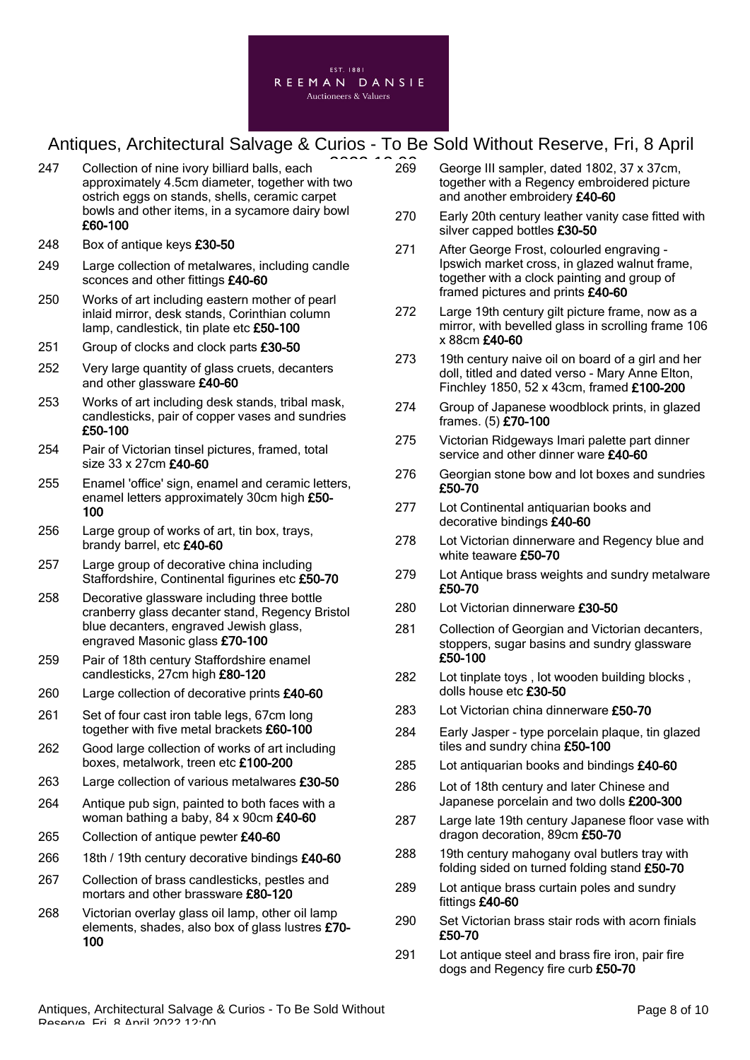

- 247 Collection of nine ivory billiard balls, each approximately 4.5cm diameter, together with two ostrich eggs on stands, shells, ceramic carpet bowls and other items, in a sycamore dairy bowl £60-100
- 248 Box of antique keys £30-50
- 249 Large collection of metalwares, including candle sconces and other fittings £40-60
- 250 Works of art including eastern mother of pearl inlaid mirror, desk stands, Corinthian column lamp, candlestick, tin plate etc £50-100
- 251 Group of clocks and clock parts £30-50
- 252 Very large quantity of glass cruets, decanters and other glassware £40-60
- 253 Works of art including desk stands, tribal mask, candlesticks, pair of copper vases and sundries £50-100
- 254 Pair of Victorian tinsel pictures, framed, total size 33 x 27cm £40-60
- 255 Enamel 'office' sign, enamel and ceramic letters, enamel letters approximately 30cm high £50- 100
- 256 Large group of works of art, tin box, trays, brandy barrel, etc £40-60
- 257 Large group of decorative china including Staffordshire, Continental figurines etc £50-70
- 258 Decorative glassware including three bottle cranberry glass decanter stand, Regency Bristol blue decanters, engraved Jewish glass, engraved Masonic glass £70-100
- 259 Pair of 18th century Staffordshire enamel candlesticks, 27cm high £80-120
- 260 Large collection of decorative prints £40-60
- 261 Set of four cast iron table legs, 67cm long together with five metal brackets £60-100
- 262 Good large collection of works of art including boxes, metalwork, treen etc £100-200
- 263 Large collection of various metalwares £30-50
- 264 Antique pub sign, painted to both faces with a woman bathing a baby, 84 x 90cm £40-60
- 265 Collection of antique pewter £40-60
- 266 18th / 19th century decorative bindings £40-60
- 267 Collection of brass candlesticks, pestles and mortars and other brassware £80-120
- 268 Victorian overlay glass oil lamp, other oil lamp elements, shades, also box of glass lustres £70- 100
- George III sampler, dated 1802, 37 x 37cm, together with a Regency embroidered picture and another embroidery £40-60 269
- 270 Early 20th century leather vanity case fitted with silver capped bottles £30-50
- 271 After George Frost, colourled engraving Ipswich market cross, in glazed walnut frame, together with a clock painting and group of framed pictures and prints £40-60
- 272 Large 19th century gilt picture frame, now as a mirror, with bevelled glass in scrolling frame 106 x 88cm £40-60
- 273 19th century naive oil on board of a girl and her doll, titled and dated verso - Mary Anne Elton, Finchley 1850, 52 x 43cm, framed £100-200
- 274 Group of Japanese woodblock prints, in glazed frames. (5) £70-100
- 275 Victorian Ridgeways Imari palette part dinner service and other dinner ware £40-60
- 276 Georgian stone bow and lot boxes and sundries £50-70
- 277 Lot Continental antiquarian books and decorative bindings £40-60
- 278 Lot Victorian dinnerware and Regency blue and white teaware £50-70
- 279 Lot Antique brass weights and sundry metalware £50-70
- 280 Lot Victorian dinnerware £30-50
- 281 Collection of Georgian and Victorian decanters, stoppers, sugar basins and sundry glassware £50-100
- 282 Lot tinplate toys , lot wooden building blocks , dolls house etc £30-50
- 283 Lot Victorian china dinnerware £50-70
- 284 Early Jasper type porcelain plaque, tin glazed tiles and sundry china £50-100
- 285 Lot antiquarian books and bindings £40-60
- 286 Lot of 18th century and later Chinese and Japanese porcelain and two dolls £200-300
- 287 Large late 19th century Japanese floor vase with dragon decoration, 89cm £50-70
- 288 19th century mahogany oval butlers tray with folding sided on turned folding stand £50-70
- 289 Lot antique brass curtain poles and sundry fittings £40-60
- 290 Set Victorian brass stair rods with acorn finials £50-70
- 291 Lot antique steel and brass fire iron, pair fire dogs and Regency fire curb £50-70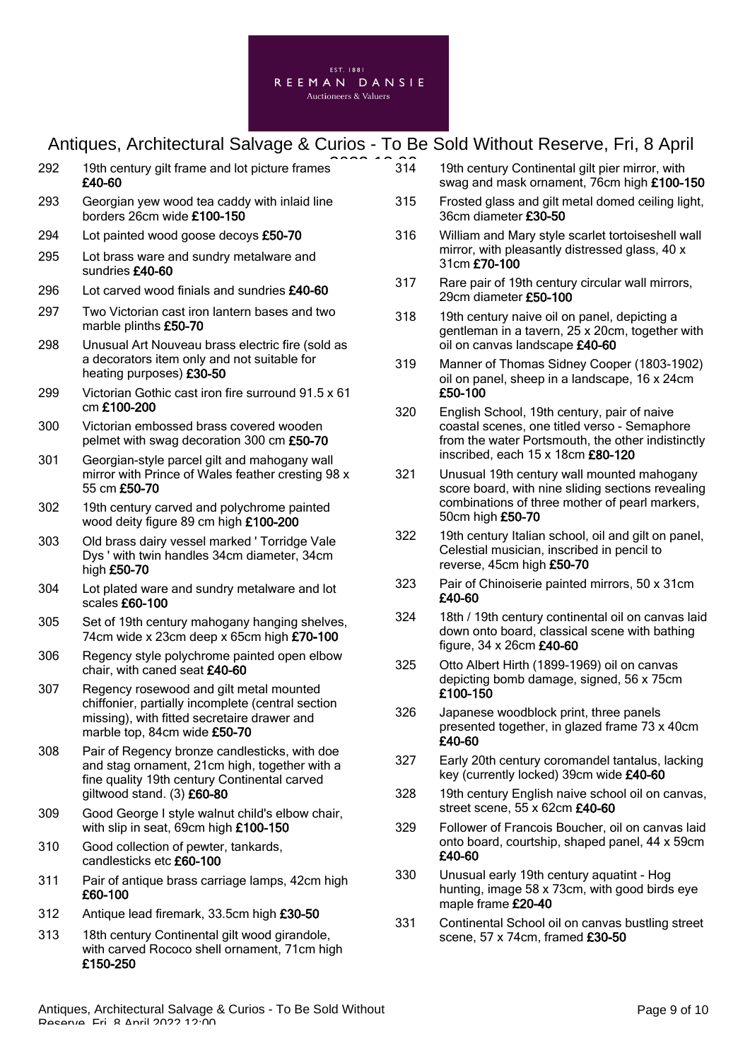

| 292 | 19th century gilt frame and lot picture frames<br>£40-60                                                                                    |
|-----|---------------------------------------------------------------------------------------------------------------------------------------------|
| 293 | Georgian yew wood tea caddy with inlaid line<br>borders 26cm wide £100-150                                                                  |
| 294 | Lot painted wood goose decoys £50-70                                                                                                        |
| 295 | Lot brass ware and sundry metalware and<br>sundries £40-60                                                                                  |
| 296 | Lot carved wood finials and sundries £40-60                                                                                                 |
| 297 | Two Victorian cast iron lantern bases and two<br>marble plinths £50-70                                                                      |
| 298 | Unusual Art Nouveau brass electric fire (sold as<br>a decorators item only and not suitable for<br>heating purposes) £30-50                 |
| 299 | Victorian Gothic cast iron fire surround 91.5 x 61<br>cm £100-200                                                                           |
| 300 | Victorian embossed brass covered wooden<br>pelmet with swag decoration 300 cm £50-70                                                        |
| 301 | Georgian-style parcel gilt and mahogany wall<br>mirror with Prince of Wales feather cresting 98 x<br>55 cm £50-70                           |
| 302 | 19th century carved and polychrome painted<br>wood deity figure 89 cm high £100-200                                                         |
| 303 | Old brass dairy vessel marked ' Torridge Vale<br>Dys' with twin handles 34cm diameter, 34cm<br>high £50-70                                  |
| 304 | Lot plated ware and sundry metalware and lot<br>scales £60-100                                                                              |
| 305 | Set of 19th century mahogany hanging shelves,<br>74cm wide x 23cm deep x 65cm high £70-100                                                  |
| 306 | Regency style polychrome painted open elbow<br>chair, with caned seat £40-60                                                                |
| 307 | Regency rosewood and gilt metal mounted<br>chiffonier, partially incomplete (central section<br>missing), with fitted secretaire drawer and |

- marble top, 84cm wide £50-70 308 Pair of Regency bronze candlesticks, with doe and stag ornament, 21cm high, together with a fine quality 19th century Continental carved giltwood stand. (3) £60-80
- 309 Good George I style walnut child's elbow chair, with slip in seat. 69cm high £100-150
- 310 Good collection of pewter, tankards, candlesticks etc £60-100
- 311 Pair of antique brass carriage lamps, 42cm high £60-100
- 312 Antique lead firemark, 33.5cm high £30-50
- 313 18th century Continental gilt wood girandole, with carved Rococo shell ornament, 71cm high £150-250
- 19th century Continental gilt pier mirror, with swag and mask ornament, 76cm high £100-150  $314$
- 315 Frosted glass and gilt metal domed ceiling light, 36cm diameter £30-50
- 316 William and Mary style scarlet tortoiseshell wall mirror, with pleasantly distressed glass, 40 x 31cm £70-100
- 317 Rare pair of 19th century circular wall mirrors, 29cm diameter £50-100
- 318 19th century naive oil on panel, depicting a gentleman in a tavern, 25 x 20cm, together with oil on canvas landscape £40-60
- 319 Manner of Thomas Sidney Cooper (1803-1902) oil on panel, sheep in a landscape, 16 x 24cm £50-100
- 320 English School, 19th century, pair of naive coastal scenes, one titled verso - Semaphore from the water Portsmouth, the other indistinctly inscribed, each 15 x 18cm £80-120
- 321 Unusual 19th century wall mounted mahogany score board, with nine sliding sections revealing combinations of three mother of pearl markers, 50cm high £50-70
- 322 19th century Italian school, oil and gilt on panel, Celestial musician, inscribed in pencil to reverse, 45cm high £50-70
- 323 Pair of Chinoiserie painted mirrors, 50 x 31cm £40-60
- 324 18th / 19th century continental oil on canvas laid down onto board, classical scene with bathing figure, 34 x 26cm £40-60
- 325 Otto Albert Hirth (1899-1969) oil on canvas depicting bomb damage, signed, 56 x 75cm £100-150
- 326 Japanese woodblock print, three panels presented together, in glazed frame 73 x 40cm £40-60
- 327 Early 20th century coromandel tantalus, lacking key (currently locked) 39cm wide £40-60
- 328 19th century English naive school oil on canvas, street scene, 55 x 62cm £40-60
- 329 Follower of Francois Boucher, oil on canvas laid onto board, courtship, shaped panel, 44 x 59cm £40-60
- 330 Unusual early 19th century aquatint Hog hunting, image 58 x 73cm, with good birds eye maple frame £20-40
- 331 Continental School oil on canvas bustling street scene, 57 x 74cm, framed £30-50